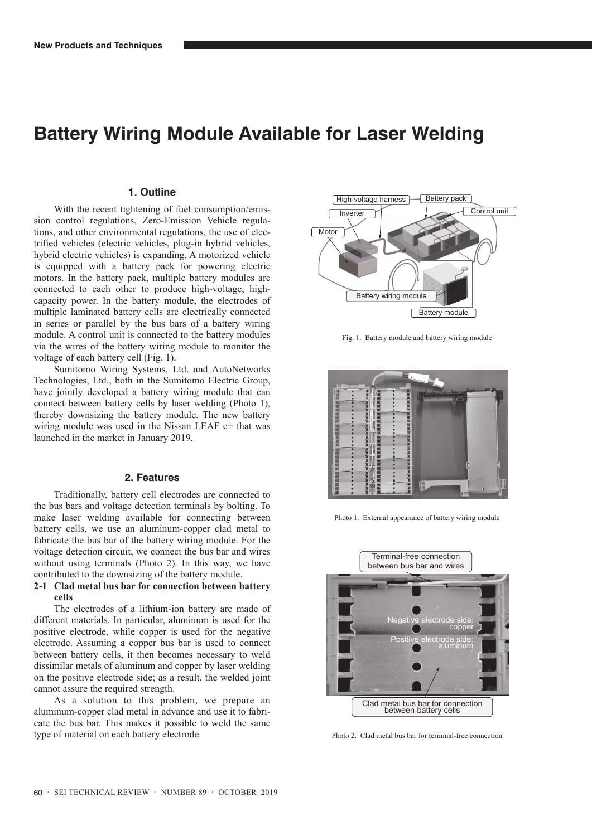# **Battery Wiring Module Available for Laser Welding**

#### **1. Outline**

With the recent tightening of fuel consumption/emission control regulations, Zero-Emission Vehicle regulations, and other environmental regulations, the use of electrified vehicles (electric vehicles, plug-in hybrid vehicles, hybrid electric vehicles) is expanding. A motorized vehicle is equipped with a battery pack for powering electric motors. In the battery pack, multiple battery modules are connected to each other to produce high-voltage, highcapacity power. In the battery module, the electrodes of multiple laminated battery cells are electrically connected in series or parallel by the bus bars of a battery wiring module. A control unit is connected to the battery modules via the wires of the battery wiring module to monitor the voltage of each battery cell (Fig. 1).

Sumitomo Wiring Systems, Ltd. and AutoNetworks Technologies, Ltd., both in the Sumitomo Electric Group, have jointly developed a battery wiring module that can connect between battery cells by laser welding (Photo 1), thereby downsizing the battery module. The new battery wiring module was used in the Nissan LEAF e+ that was launched in the market in January 2019.

## **2. Features**

Traditionally, battery cell electrodes are connected to the bus bars and voltage detection terminals by bolting. To make laser welding available for connecting between battery cells, we use an aluminum-copper clad metal to fabricate the bus bar of the battery wiring module. For the voltage detection circuit, we connect the bus bar and wires without using terminals (Photo 2). In this way, we have contributed to the downsizing of the battery module.

### **2-1 Clad metal bus bar for connection between battery cells**

The electrodes of a lithium-ion battery are made of different materials. In particular, aluminum is used for the positive electrode, while copper is used for the negative electrode. Assuming a copper bus bar is used to connect between battery cells, it then becomes necessary to weld dissimilar metals of aluminum and copper by laser welding on the positive electrode side; as a result, the welded joint cannot assure the required strength.

As a solution to this problem, we prepare an aluminum-copper clad metal in advance and use it to fabricate the bus bar. This makes it possible to weld the same type of material on each battery electrode.



Fig. 1. Battery module and battery wiring module



Photo 1. External appearance of battery wiring module



Photo 2. Clad metal bus bar for terminal-free connection